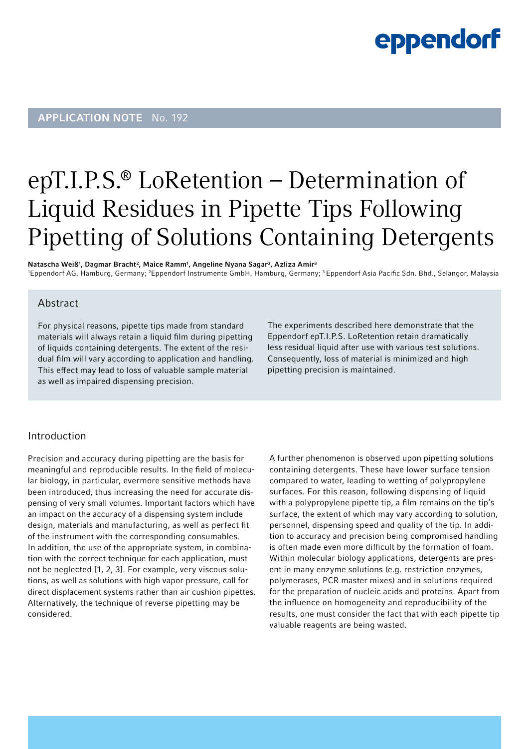## eppendorf

### APPLICATION NOTE No. 192

### epT.I.P.S.® LoRetention – Determination of Liquid Residues in Pipette Tips Following Pipetting of Solutions Containing Detergents

Natascha Weiß<sup>1</sup>, Dagmar Bracht<sup>2</sup>, Maice Ramm<sup>1</sup>, Angeline Nyana Sagar<sup>3</sup>, Azliza Amir<sup>3</sup>

'Eppendorf AG, Hamburg, Germany; <sup>2</sup>Eppendorf Instrumente GmbH, Hamburg, Germany; <sup>3</sup> Eppendorf Asia Pacific Sdn. Bhd., Selangor, Malaysia

#### Abstract

For physical reasons, pipette tips made from standard materials will always retain a liquid film during pipetting of liquids containing detergents. The extent of the residual film will vary according to application and handling. This effect may lead to loss of valuable sample material as well as impaired dispensing precision.

The experiments described here demonstrate that the Eppendorf epT.I.P.S. LoRetention retain dramatically less residual liquid after use with various test solutions. Consequently, loss of material is minimized and high pipetting precision is maintained.

#### Introduction

Precision and accuracy during pipetting are the basis for meaningful and reproducible results. In the field of molecular biology, in particular, evermore sensitive methods have been introduced, thus increasing the need for accurate dispensing of very small volumes. Important factors which have an impact on the accuracy of a dispensing system include design, materials and manufacturing, as well as perfect fit of the instrument with the corresponding consumables. In addition, the use of the appropriate system, in combination with the correct technique for each application, must not be neglected [1, 2, 3]. For example, very viscous solutions, as well as solutions with high vapor pressure, call for direct displacement systems rather than air cushion pipettes. Alternatively, the technique of reverse pipetting may be considered.

A further phenomenon is observed upon pipetting solutions containing detergents. These have lower surface tension compared to water, leading to wetting of polypropylene surfaces. For this reason, following dispensing of liquid with a polypropylene pipette tip, a film remains on the tip's surface, the extent of which may vary according to solution, personnel, dispensing speed and quality of the tip. In addition to accuracy and precision being compromised handling is often made even more difficult by the formation of foam. Within molecular biology applications, detergents are present in many enzyme solutions (e.g. restriction enzymes, polymerases, PCR master mixes) and in solutions required for the preparation of nucleic acids and proteins. Apart from the influence on homogeneity and reproducibility of the results, one must consider the fact that with each pipette tip valuable reagents are being wasted.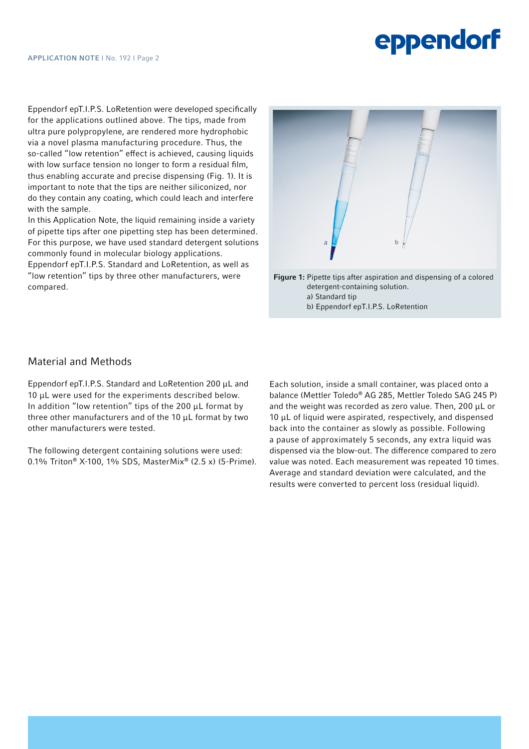# **eppendorf**

Eppendorf epT.I.P.S. LoRetention were developed specifically for the applications outlined above. The tips, made from ultra pure polypropylene, are rendered more hydrophobic via a novel plasma manufacturing procedure. Thus, the so-called "low retention" effect is achieved, causing liquids with low surface tension no longer to form a residual film, thus enabling accurate and precise dispensing (Fig. 1). It is important to note that the tips are neither siliconized, nor do they contain any coating, which could leach and interfere with the sample.

In this Application Note, the liquid remaining inside a variety of pipette tips after one pipetting step has been determined. For this purpose, we have used standard detergent solutions commonly found in molecular biology applications.

Eppendorf epT.I.P.S. Standard and LoRetention, as well as "low retention" tips by three other manufacturers, were compared.



Figure 1: Pipette tips after aspiration and dispensing of a colored detergent-containing solution. a) Standard tip b) Eppendorf epT.I.P.S. LoRetention

#### Material and Methods

Eppendorf epT.I.P.S. Standard and LoRetention 200 μL and 10 μL were used for the experiments described below. In addition "low retention" tips of the 200 μL format by three other manufacturers and of the 10 μL format by two other manufacturers were tested.

The following detergent containing solutions were used: 0.1% Triton® X-100, 1% SDS, MasterMix® (2.5 x) (5-Prime).

Each solution, inside a small container, was placed onto a balance (Mettler Toledo® AG 285, Mettler Toledo SAG 245 P) and the weight was recorded as zero value. Then, 200 μL or 10 μL of liquid were aspirated, respectively, and dispensed back into the container as slowly as possible. Following a pause of approximately 5 seconds, any extra liquid was dispensed via the blow-out. The difference compared to zero value was noted. Each measurement was repeated 10 times. Average and standard deviation were calculated, and the results were converted to percent loss (residual liquid).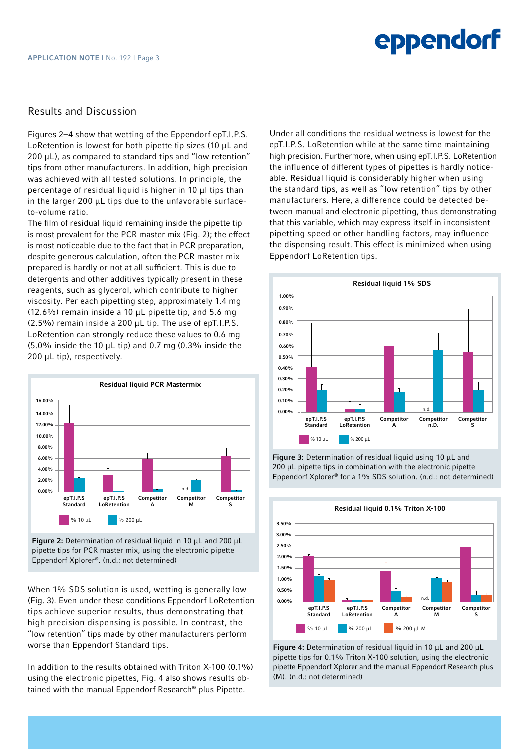#### Results and Discussion

Figures 2–4 show that wetting of the Eppendorf epT.I.P.S. LoRetention is lowest for both pipette tip sizes (10 μL and  $200 \mu L$ ), as compared to standard tips and "low retention" tips from other manufacturers. In addition, high precision was achieved with all tested solutions. In principle, the percentage of residual liquid is higher in 10 μl tips than in the larger 200 μL tips due to the unfavorable surfaceto-volume ratio.

The film of residual liquid remaining inside the pipette tip is most prevalent for the PCR master mix (Fig. 2); the effect is most noticeable due to the fact that in PCR preparation, despite generous calculation, often the PCR master mix prepared is hardly or not at all sufficient. This is due to detergents and other additives typically present in these reagents, such as glycerol, which contribute to higher viscosity. Per each pipetting step, approximately 1.4 mg (12.6%) remain inside a 10  $\mu$ L pipette tip, and 5.6 mg (2.5%) remain inside a 200 μL tip. The use of epT.I.P.S. LoRetention can strongly reduce these values to 0.6 mg (5.0% inside the 10 μL tip) and 0.7 mg (0.3% inside the 200 μL tip), respectively.



Figure 2: Determination of residual liquid in 10 μL and 200 μL pipette tips for PCR master mix, using the electronic pipette Eppendorf Xplorer®. (n.d.: not determined)

When 1% SDS solution is used, wetting is generally low (Fig. 3). Even under these conditions Eppendorf LoRetention tips achieve superior results, thus demonstrating that high precision dispensing is possible. In contrast, the "low retention" tips made by other manufacturers perform worse than Eppendorf Standard tips.

In addition to the results obtained with Triton X-100 (0.1%) using the electronic pipettes, Fig. 4 also shows results obtained with the manual Eppendorf Research® plus Pipette.

Under all conditions the residual wetness is lowest for the epT.I.P.S. LoRetention while at the same time maintaining high precision. Furthermore, when using epT.I.P.S. LoRetention the influence of different types of pipettes is hardly noticeable. Residual liquid is considerably higher when using the standard tips, as well as "low retention" tips by other manufacturers. Here, a difference could be detected between manual and electronic pipetting, thus demonstrating that this variable, which may express itself in inconsistent pipetting speed or other handling factors, may influence the dispensing result. This effect is minimized when using Eppendorf LoRetention tips.



Figure 3: Determination of residual liquid using 10 μL and 200 μL pipette tips in combination with the electronic pipette Eppendorf Xplorer® for a 1% SDS solution. (n.d.: not determined)



Figure 4: Determination of residual liquid in 10 μL and 200 μL pipette tips for 0.1% Triton X-100 solution, using the electronic pipette Eppendorf Xplorer and the manual Eppendorf Research plus (M). (n.d.: not determined)